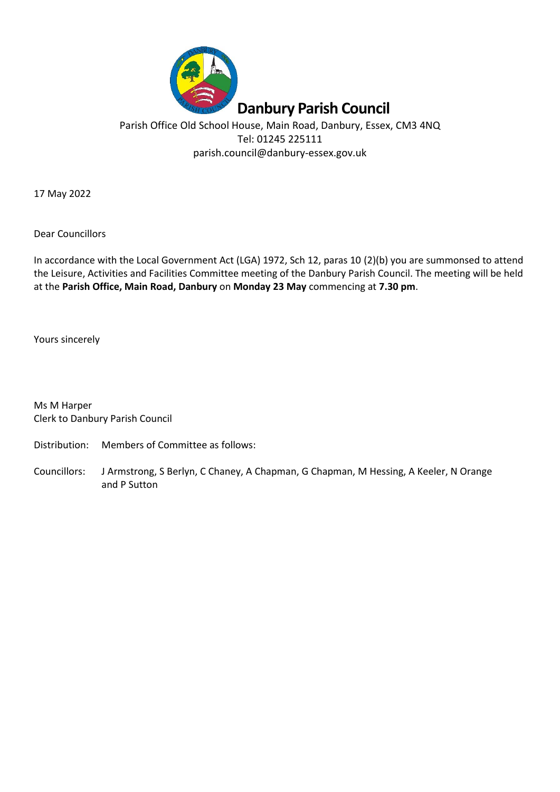

# Parish Office Old School House, Main Road, Danbury, Essex, CM3 4NQ Tel: 01245 225111 parish.council@danbury-essex.gov.uk

17 May 2022

Dear Councillors

In accordance with the Local Government Act (LGA) 1972, Sch 12, paras 10 (2)(b) you are summonsed to attend the Leisure, Activities and Facilities Committee meeting of the Danbury Parish Council. The meeting will be held at the **Parish Office, Main Road, Danbury** on **Monday 23 May** commencing at **7.30 pm**.

Yours sincerely

Ms M Harper Clerk to Danbury Parish Council

Distribution: Members of Committee as follows:

Councillors: J Armstrong, S Berlyn, C Chaney, A Chapman, G Chapman, M Hessing, A Keeler, N Orange and P Sutton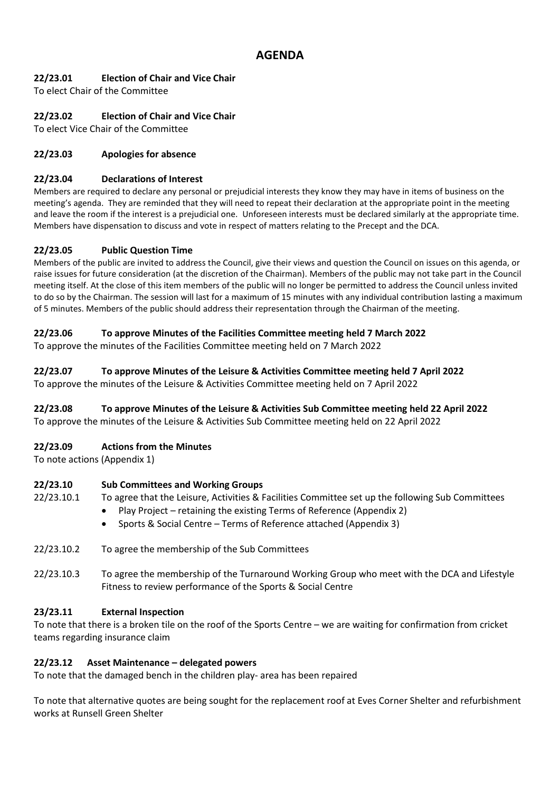## **22/23.01 Election of Chair and Vice Chair**

To elect Chair of the Committee

## **22/23.02 Election of Chair and Vice Chair**

To elect Vice Chair of the Committee

## **22/23.03 Apologies for absence**

#### **22/23.04 Declarations of Interest**

Members are required to declare any personal or prejudicial interests they know they may have in items of business on the meeting's agenda. They are reminded that they will need to repeat their declaration at the appropriate point in the meeting and leave the room if the interest is a prejudicial one. Unforeseen interests must be declared similarly at the appropriate time. Members have dispensation to discuss and vote in respect of matters relating to the Precept and the DCA.

### **22/23.05 Public Question Time**

Members of the public are invited to address the Council, give their views and question the Council on issues on this agenda, or raise issues for future consideration (at the discretion of the Chairman). Members of the public may not take part in the Council meeting itself. At the close of this item members of the public will no longer be permitted to address the Council unless invited to do so by the Chairman. The session will last for a maximum of 15 minutes with any individual contribution lasting a maximum of 5 minutes. Members of the public should address their representation through the Chairman of the meeting.

### **22/23.06 To approve Minutes of the Facilities Committee meeting held 7 March 2022**

To approve the minutes of the Facilities Committee meeting held on 7 March 2022

### **22/23.07 To approve Minutes of the Leisure & Activities Committee meeting held 7 April 2022**

To approve the minutes of the Leisure & Activities Committee meeting held on 7 April 2022

## **22/23.08 To approve Minutes of the Leisure & Activities Sub Committee meeting held 22 April 2022**

To approve the minutes of the Leisure & Activities Sub Committee meeting held on 22 April 2022

#### **22/23.09 Actions from the Minutes**

To note actions (Appendix 1)

## **22/23.10 Sub Committees and Working Groups**

- 22/23.10.1 To agree that the Leisure, Activities & Facilities Committee set up the following Sub Committees
	- Play Project retaining the existing Terms of Reference (Appendix 2)
	- Sports & Social Centre Terms of Reference attached (Appendix 3)
- 22/23.10.2 To agree the membership of the Sub Committees
- 22/23.10.3 To agree the membership of the Turnaround Working Group who meet with the DCA and Lifestyle Fitness to review performance of the Sports & Social Centre

#### **23/23.11 External Inspection**

To note that there is a broken tile on the roof of the Sports Centre – we are waiting for confirmation from cricket teams regarding insurance claim

#### **22/23.12 Asset Maintenance – delegated powers**

To note that the damaged bench in the children play- area has been repaired

To note that alternative quotes are being sought for the replacement roof at Eves Corner Shelter and refurbishment works at Runsell Green Shelter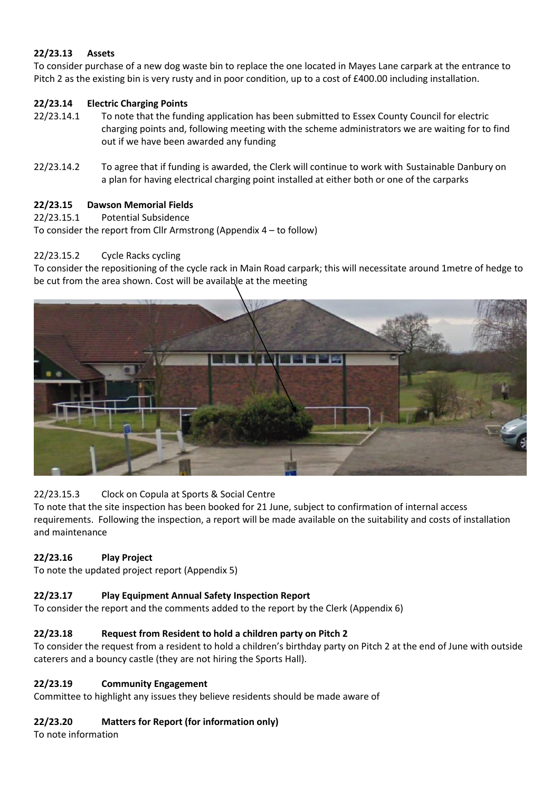## **22/23.13 Assets**

To consider purchase of a new dog waste bin to replace the one located in Mayes Lane carpark at the entrance to Pitch 2 as the existing bin is very rusty and in poor condition, up to a cost of £400.00 including installation.

## **22/23.14 Electric Charging Points**

- 22/23.14.1 To note that the funding application has been submitted to Essex County Council for electric charging points and, following meeting with the scheme administrators we are waiting for to find out if we have been awarded any funding
- 22/23.14.2 To agree that if funding is awarded, the Clerk will continue to work with Sustainable Danbury on a plan for having electrical charging point installed at either both or one of the carparks

## **22/23.15 Dawson Memorial Fields**

22/23.15.1 Potential Subsidence

To consider the report from Cllr Armstrong (Appendix 4 – to follow)

## 22/23.15.2 Cycle Racks cycling

To consider the repositioning of the cycle rack in Main Road carpark; this will necessitate around 1metre of hedge to be cut from the area shown. Cost will be available at the meeting



## 22/23.15.3 Clock on Copula at Sports & Social Centre

To note that the site inspection has been booked for 21 June, subject to confirmation of internal access requirements. Following the inspection, a report will be made available on the suitability and costs of installation and maintenance

## **22/23.16 Play Project**

To note the updated project report (Appendix 5)

## **22/23.17 Play Equipment Annual Safety Inspection Report**

To consider the report and the comments added to the report by the Clerk (Appendix 6)

## **22/23.18 Request from Resident to hold a children party on Pitch 2**

To consider the request from a resident to hold a children's birthday party on Pitch 2 at the end of June with outside caterers and a bouncy castle (they are not hiring the Sports Hall).

## **22/23.19 Community Engagement**

Committee to highlight any issues they believe residents should be made aware of

## **22/23.20 Matters for Report (for information only)**

To note information